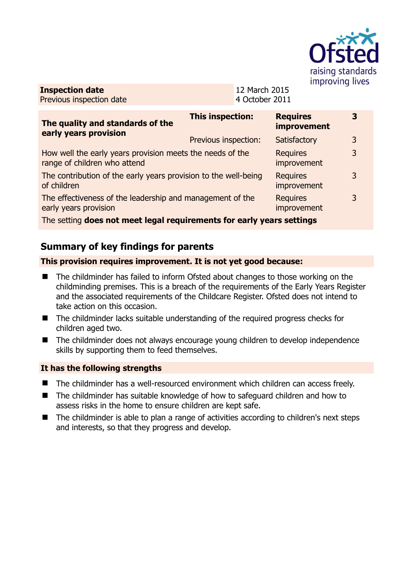

**Inspection date** Previous inspection date 12 March 2015 4 October 2011

| The quality and standards of the<br>early years provision                                                  | <b>This inspection:</b> | <b>Requires</b><br>improvement | 3 |
|------------------------------------------------------------------------------------------------------------|-------------------------|--------------------------------|---|
|                                                                                                            | Previous inspection:    | Satisfactory                   | 3 |
| How well the early years provision meets the needs of the<br>range of children who attend                  |                         | <b>Requires</b><br>improvement | 3 |
| The contribution of the early years provision to the well-being<br>of children                             |                         | <b>Requires</b><br>improvement | 3 |
| The effectiveness of the leadership and management of the<br>early years provision                         |                         | <b>Requires</b><br>improvement | 3 |
| The control december in the control of the control control from control on the<br>a de la california de la |                         |                                |   |

The setting **does not meet legal requirements for early years settings**

# **Summary of key findings for parents**

### **This provision requires improvement. It is not yet good because:**

- The childminder has failed to inform Ofsted about changes to those working on the childminding premises. This is a breach of the requirements of the Early Years Register and the associated requirements of the Childcare Register. Ofsted does not intend to take action on this occasion.
- The childminder lacks suitable understanding of the required progress checks for children aged two.
- The childminder does not always encourage young children to develop independence skills by supporting them to feed themselves.

### **It has the following strengths**

- The childminder has a well-resourced environment which children can access freely.
- The childminder has suitable knowledge of how to safeguard children and how to assess risks in the home to ensure children are kept safe.
- The childminder is able to plan a range of activities according to children's next steps and interests, so that they progress and develop.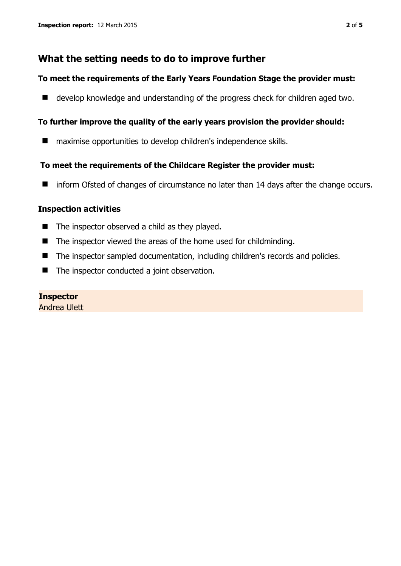## **What the setting needs to do to improve further**

#### **To meet the requirements of the Early Years Foundation Stage the provider must:**

■ develop knowledge and understanding of the progress check for children aged two.

### **To further improve the quality of the early years provision the provider should:**

**naximise opportunities to develop children's independence skills.** 

### **To meet the requirements of the Childcare Register the provider must:**

■ inform Ofsted of changes of circumstance no later than 14 days after the change occurs.

### **Inspection activities**

- $\blacksquare$  The inspector observed a child as they played.
- The inspector viewed the areas of the home used for childminding.
- The inspector sampled documentation, including children's records and policies.
- The inspector conducted a joint observation.

## **Inspector**

Andrea Ulett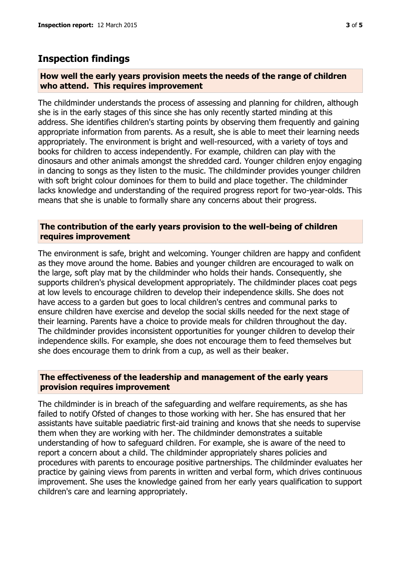## **Inspection findings**

#### **How well the early years provision meets the needs of the range of children who attend. This requires improvement**

The childminder understands the process of assessing and planning for children, although she is in the early stages of this since she has only recently started minding at this address. She identifies children's starting points by observing them frequently and gaining appropriate information from parents. As a result, she is able to meet their learning needs appropriately. The environment is bright and well-resourced, with a variety of toys and books for children to access independently. For example, children can play with the dinosaurs and other animals amongst the shredded card. Younger children enjoy engaging in dancing to songs as they listen to the music. The childminder provides younger children with soft bright colour dominoes for them to build and place together. The childminder lacks knowledge and understanding of the required progress report for two-year-olds. This means that she is unable to formally share any concerns about their progress.

#### **The contribution of the early years provision to the well-being of children requires improvement**

The environment is safe, bright and welcoming. Younger children are happy and confident as they move around the home. Babies and younger children are encouraged to walk on the large, soft play mat by the childminder who holds their hands. Consequently, she supports children's physical development appropriately. The childminder places coat pegs at low levels to encourage children to develop their independence skills. She does not have access to a garden but goes to local children's centres and communal parks to ensure children have exercise and develop the social skills needed for the next stage of their learning. Parents have a choice to provide meals for children throughout the day. The childminder provides inconsistent opportunities for younger children to develop their independence skills. For example, she does not encourage them to feed themselves but she does encourage them to drink from a cup, as well as their beaker.

#### **The effectiveness of the leadership and management of the early years provision requires improvement**

The childminder is in breach of the safeguarding and welfare requirements, as she has failed to notify Ofsted of changes to those working with her. She has ensured that her assistants have suitable paediatric first-aid training and knows that she needs to supervise them when they are working with her. The childminder demonstrates a suitable understanding of how to safeguard children. For example, she is aware of the need to report a concern about a child. The childminder appropriately shares policies and procedures with parents to encourage positive partnerships. The childminder evaluates her practice by gaining views from parents in written and verbal form, which drives continuous improvement. She uses the knowledge gained from her early years qualification to support children's care and learning appropriately.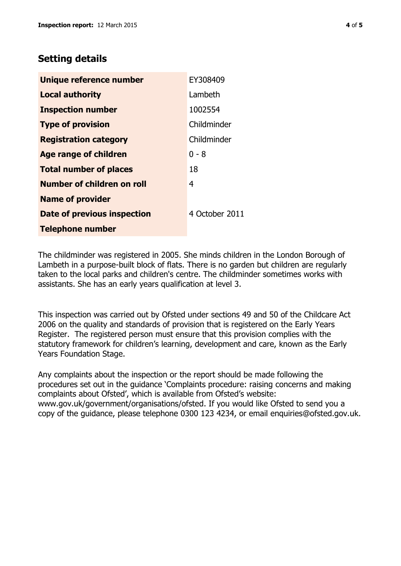# **Setting details**

| Unique reference number       | EY308409       |
|-------------------------------|----------------|
| <b>Local authority</b>        | Lambeth        |
| <b>Inspection number</b>      | 1002554        |
| <b>Type of provision</b>      | Childminder    |
| <b>Registration category</b>  | Childminder    |
| <b>Age range of children</b>  | 0 - 8          |
| <b>Total number of places</b> | 18             |
| Number of children on roll    | 4              |
| <b>Name of provider</b>       |                |
| Date of previous inspection   | 4 October 2011 |
| <b>Telephone number</b>       |                |

The childminder was registered in 2005. She minds children in the London Borough of Lambeth in a purpose-built block of flats. There is no garden but children are regularly taken to the local parks and children's centre. The childminder sometimes works with assistants. She has an early years qualification at level 3.

This inspection was carried out by Ofsted under sections 49 and 50 of the Childcare Act 2006 on the quality and standards of provision that is registered on the Early Years Register. The registered person must ensure that this provision complies with the statutory framework for children's learning, development and care, known as the Early Years Foundation Stage.

Any complaints about the inspection or the report should be made following the procedures set out in the guidance 'Complaints procedure: raising concerns and making complaints about Ofsted', which is available from Ofsted's website: www.gov.uk/government/organisations/ofsted. If you would like Ofsted to send you a copy of the guidance, please telephone 0300 123 4234, or email enquiries@ofsted.gov.uk.